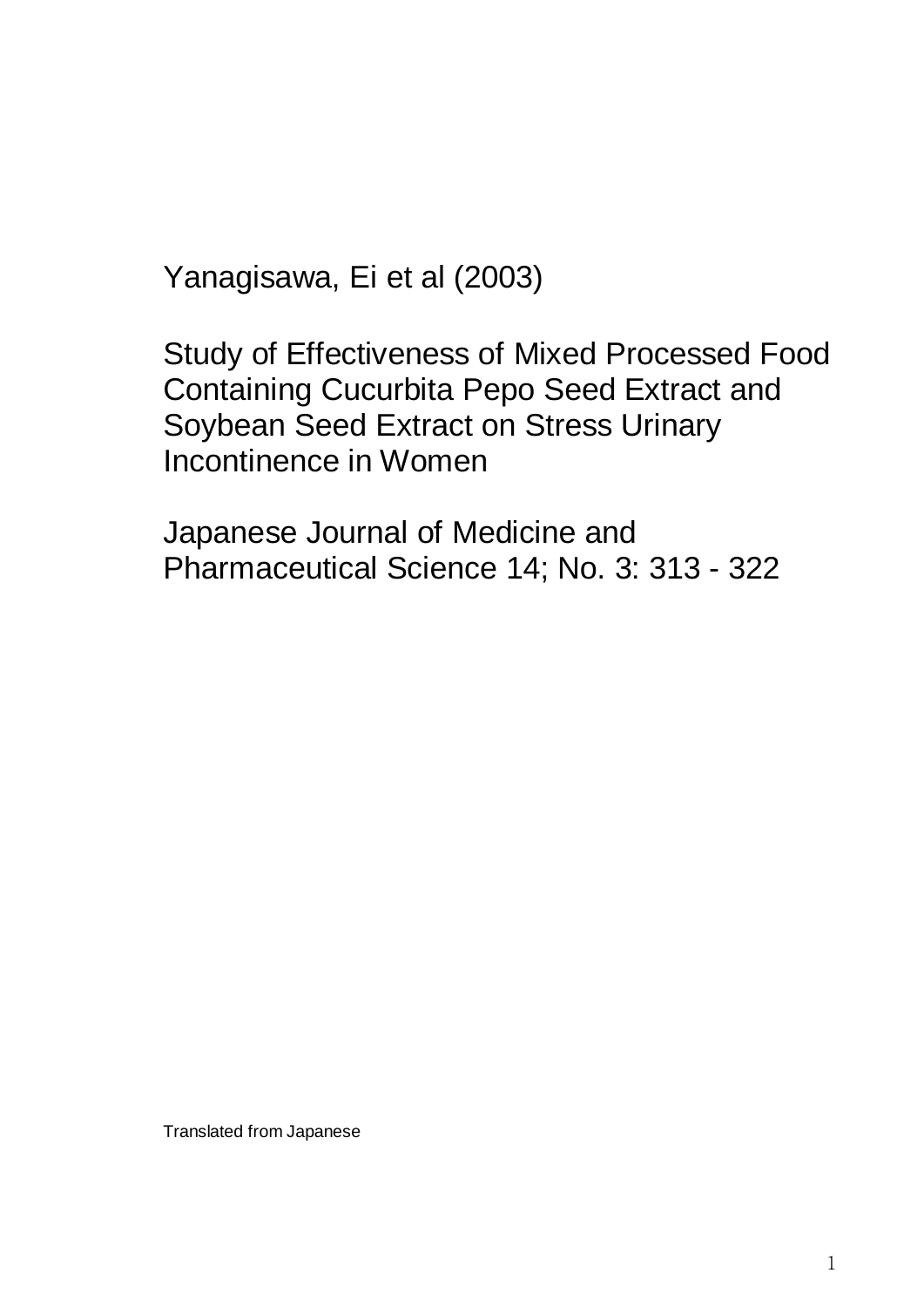Yanagisawa, Ei et al (2003)

Study of Effectiveness of Mixed Processed Food Containing Cucurbita Pepo Seed Extract and Soybean Seed Extract on Stress Urinary Incontinence in Women

Japanese Journal of Medicine and Pharmaceutical Science 14; No. 3: 313 - 322

Translated from Japanese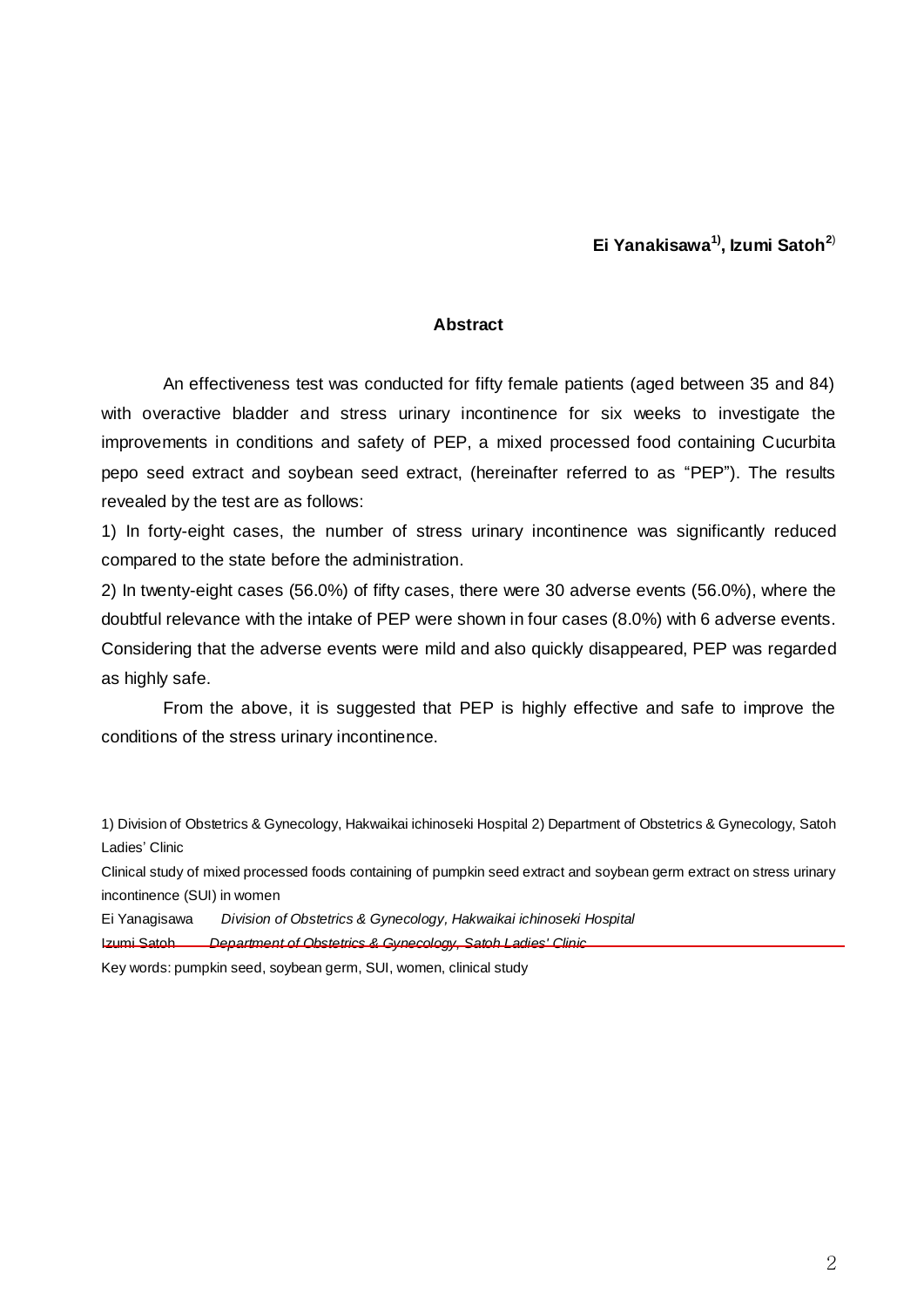**Ei Yanakisawa1) , Izumi Satoh<sup>2</sup>**)

#### **Abstract**

An effectiveness test was conducted for fifty female patients (aged between 35 and 84) with overactive bladder and stress urinary incontinence for six weeks to investigate the improvements in conditions and safety of PEP, a mixed processed food containing Cucurbita pepo seed extract and soybean seed extract, (hereinafter referred to as "PEP"). The results revealed by the test are as follows:

1) In forty-eight cases, the number of stress urinary incontinence was significantly reduced compared to the state before the administration.

2) In twenty-eight cases (56.0%) of fifty cases, there were 30 adverse events (56.0%), where the doubtful relevance with the intake of PEP were shown in four cases (8.0%) with 6 adverse events. Considering that the adverse events were mild and also quickly disappeared, PEP was regarded as highly safe.

From the above, it is suggested that PEP is highly effective and safe to improve the conditions of the stress urinary incontinence.

1) Division of Obstetrics & Gynecology, Hakwaikai ichinoseki Hospital 2) Department of Obstetrics & Gynecology, Satoh Ladies' Clinic

Clinical study of mixed processed foods containing of pumpkin seed extract and soybean germ extract on stress urinary incontinence (SUI) in women

Ei Yanagisawa *Division of Obstetrics & Gynecology, Hakwaikai ichinoseki Hospital*

Izumi Satoh *Department of Obstetrics & Gynecology, Satoh Ladies' Clinic*

Key words: pumpkin seed, soybean germ, SUI, women, clinical study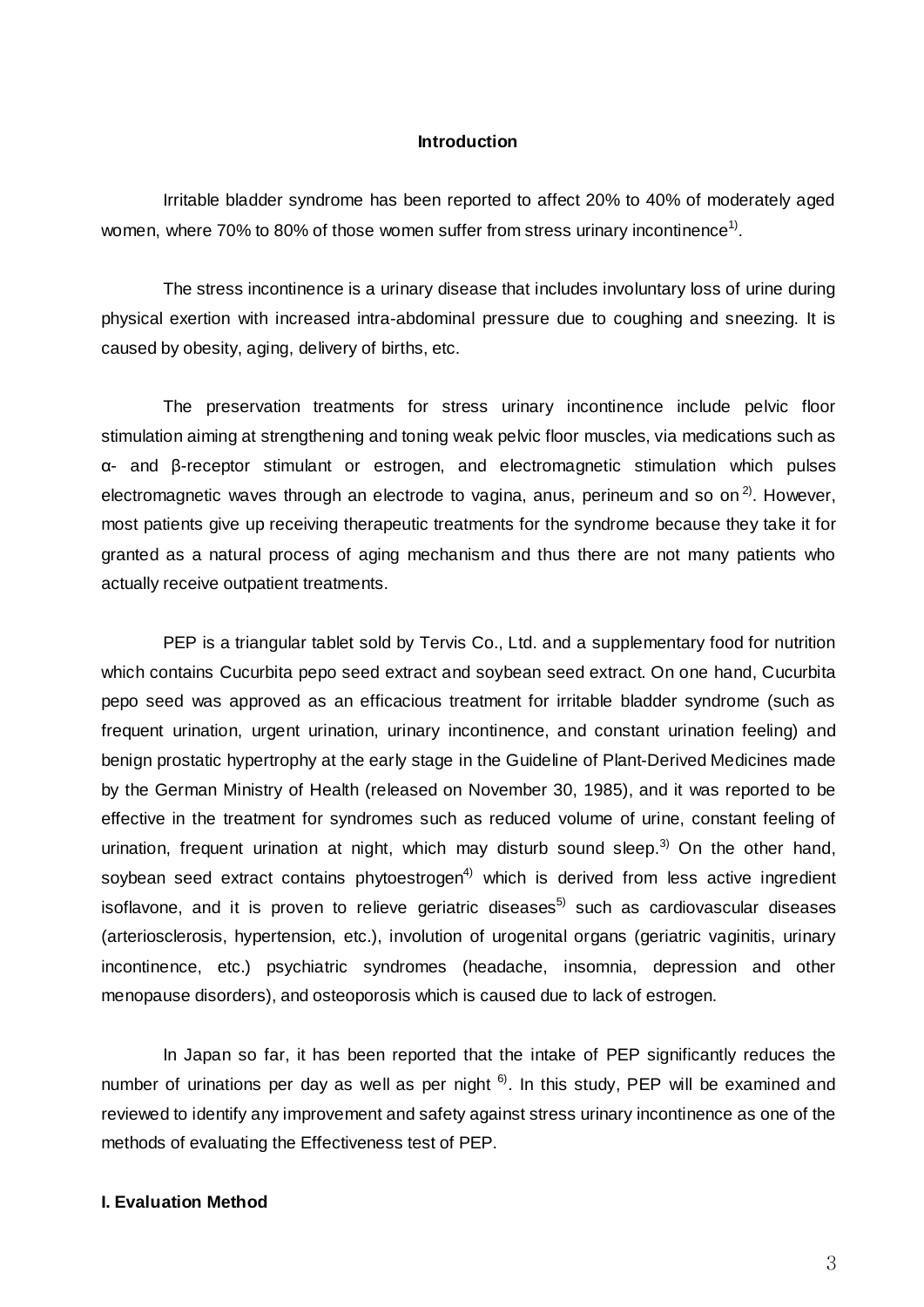#### **Introduction**

Irritable bladder syndrome has been reported to affect 20% to 40% of moderately aged women, where 70% to 80% of those women suffer from stress urinary incontinence<sup>1)</sup>.

The stress incontinence is a urinary disease that includes involuntary loss of urine during physical exertion with increased intra-abdominal pressure due to coughing and sneezing. It is caused by obesity, aging, delivery of births, etc.

The preservation treatments for stress urinary incontinence include pelvic floor stimulation aiming at strengthening and toning weak pelvic floor muscles, via medications such as α- and β-receptor stimulant or estrogen, and electromagnetic stimulation which pulses electromagnetic waves through an electrode to vagina, anus, perineum and so on<sup>2)</sup>. However, most patients give up receiving therapeutic treatments for the syndrome because they take it for granted as a natural process of aging mechanism and thus there are not many patients who actually receive outpatient treatments.

PEP is a triangular tablet sold by Tervis Co., Ltd. and a supplementary food for nutrition which contains Cucurbita pepo seed extract and soybean seed extract. On one hand, Cucurbita pepo seed was approved as an efficacious treatment for irritable bladder syndrome (such as frequent urination, urgent urination, urinary incontinence, and constant urination feeling) and benign prostatic hypertrophy at the early stage in the Guideline of Plant-Derived Medicines made by the German Ministry of Health (released on November 30, 1985), and it was reported to be effective in the treatment for syndromes such as reduced volume of urine, constant feeling of urination, frequent urination at night, which may disturb sound sleep.<sup>3)</sup> On the other hand, soybean seed extract contains phytoestrogen<sup>4)</sup> which is derived from less active ingredient isoflavone, and it is proven to relieve geriatric diseases<sup>5)</sup> such as cardiovascular diseases (arteriosclerosis, hypertension, etc.), involution of urogenital organs (geriatric vaginitis, urinary incontinence, etc.) psychiatric syndromes (headache, insomnia, depression and other menopause disorders), and osteoporosis which is caused due to lack of estrogen.

In Japan so far, it has been reported that the intake of PEP significantly reduces the number of urinations per day as well as per night  $6$ . In this study, PEP will be examined and reviewed to identify any improvement and safety against stress urinary incontinence as one of the methods of evaluating the Effectiveness test of PEP.

## **I. Evaluation Method**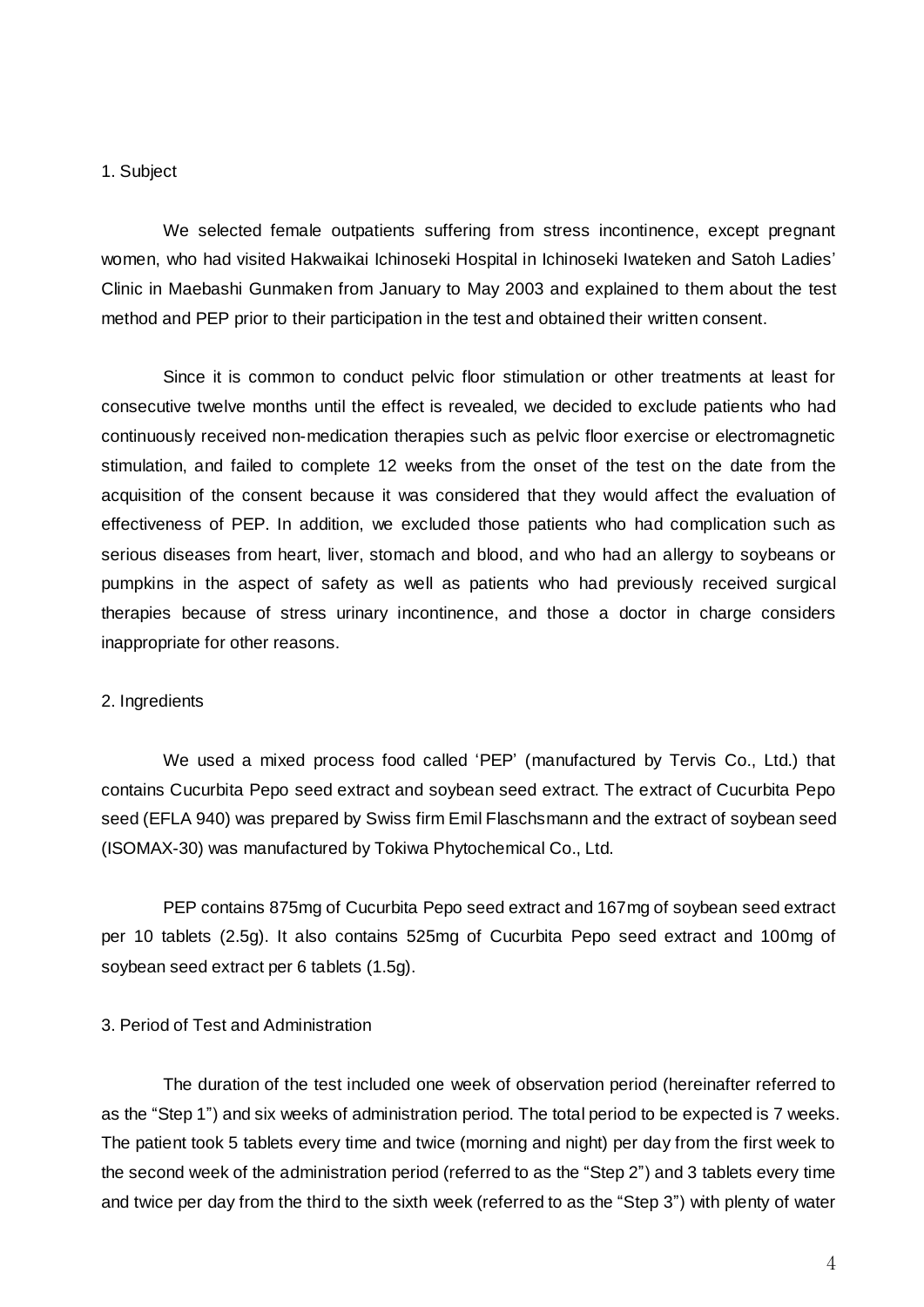#### 1. Subject

We selected female outpatients suffering from stress incontinence, except pregnant women, who had visited Hakwaikai Ichinoseki Hospital in Ichinoseki Iwateken and Satoh Ladies' Clinic in Maebashi Gunmaken from January to May 2003 and explained to them about the test method and PEP prior to their participation in the test and obtained their written consent.

Since it is common to conduct pelvic floor stimulation or other treatments at least for consecutive twelve months until the effect is revealed, we decided to exclude patients who had continuously received non-medication therapies such as pelvic floor exercise or electromagnetic stimulation, and failed to complete 12 weeks from the onset of the test on the date from the acquisition of the consent because it was considered that they would affect the evaluation of effectiveness of PEP. In addition, we excluded those patients who had complication such as serious diseases from heart, liver, stomach and blood, and who had an allergy to soybeans or pumpkins in the aspect of safety as well as patients who had previously received surgical therapies because of stress urinary incontinence, and those a doctor in charge considers inappropriate for other reasons.

#### 2. Ingredients

We used a mixed process food called 'PEP' (manufactured by Tervis Co., Ltd.) that contains Cucurbita Pepo seed extract and soybean seed extract. The extract of Cucurbita Pepo seed (EFLA 940) was prepared by Swiss firm Emil Flaschsmann and the extract of soybean seed (ISOMAX-30) was manufactured by Tokiwa Phytochemical Co., Ltd.

PEP contains 875mg of Cucurbita Pepo seed extract and 167mg of soybean seed extract per 10 tablets (2.5g). It also contains 525mg of Cucurbita Pepo seed extract and 100mg of soybean seed extract per 6 tablets (1.5g).

#### 3. Period of Test and Administration

The duration of the test included one week of observation period (hereinafter referred to as the "Step 1") and six weeks of administration period. The total period to be expected is 7 weeks. The patient took 5 tablets every time and twice (morning and night) per day from the first week to the second week of the administration period (referred to as the "Step 2") and 3 tablets every time and twice per day from the third to the sixth week (referred to as the "Step 3") with plenty of water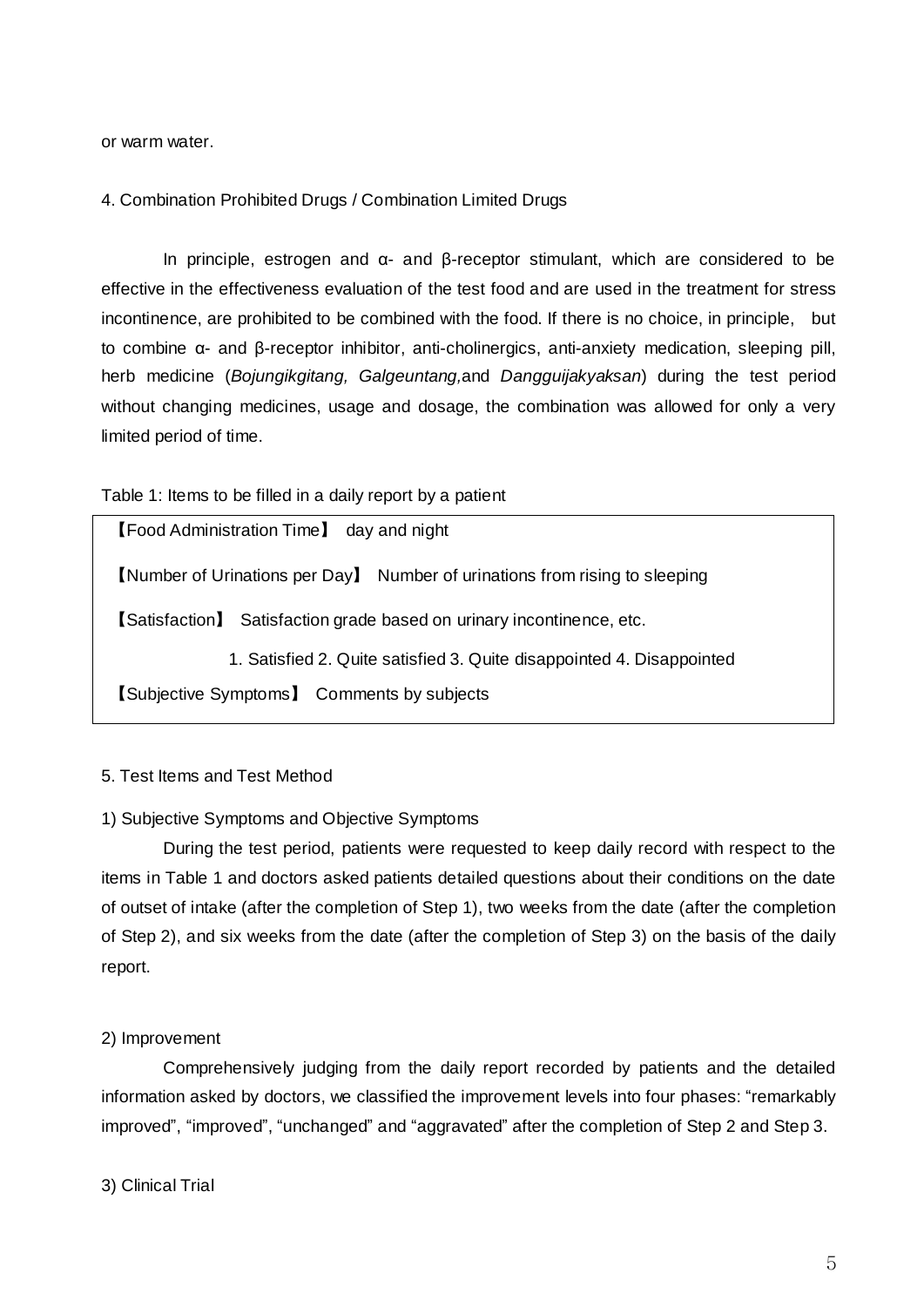or warm water.

4. Combination Prohibited Drugs / Combination Limited Drugs

In principle, estrogen and α- and β-receptor stimulant, which are considered to be effective in the effectiveness evaluation of the test food and are used in the treatment for stress incontinence, are prohibited to be combined with the food. If there is no choice, in principle, but to combine α- and β-receptor inhibitor, anti-cholinergics, anti-anxiety medication, sleeping pill, herb medicine (*Bojungikgitang, Galgeuntang,*and *Dangguijakyaksan*) during the test period without changing medicines, usage and dosage, the combination was allowed for only a very limited period of time.

Table 1: Items to be filled in a daily report by a patient

【Food Administration Time】 day and night

【Number of Urinations per Day】 Number of urinations from rising to sleeping

【Satisfaction】 Satisfaction grade based on urinary incontinence, etc.

1. Satisfied 2. Quite satisfied 3. Quite disappointed 4. Disappointed

【Subjective Symptoms】 Comments by subjects

## 5. Test Items and Test Method

## 1) Subjective Symptoms and Objective Symptoms

During the test period, patients were requested to keep daily record with respect to the items in Table 1 and doctors asked patients detailed questions about their conditions on the date of outset of intake (after the completion of Step 1), two weeks from the date (after the completion of Step 2), and six weeks from the date (after the completion of Step 3) on the basis of the daily report.

#### 2) Improvement

Comprehensively judging from the daily report recorded by patients and the detailed information asked by doctors, we classified the improvement levels into four phases: "remarkably improved", "improved", "unchanged" and "aggravated" after the completion of Step 2 and Step 3.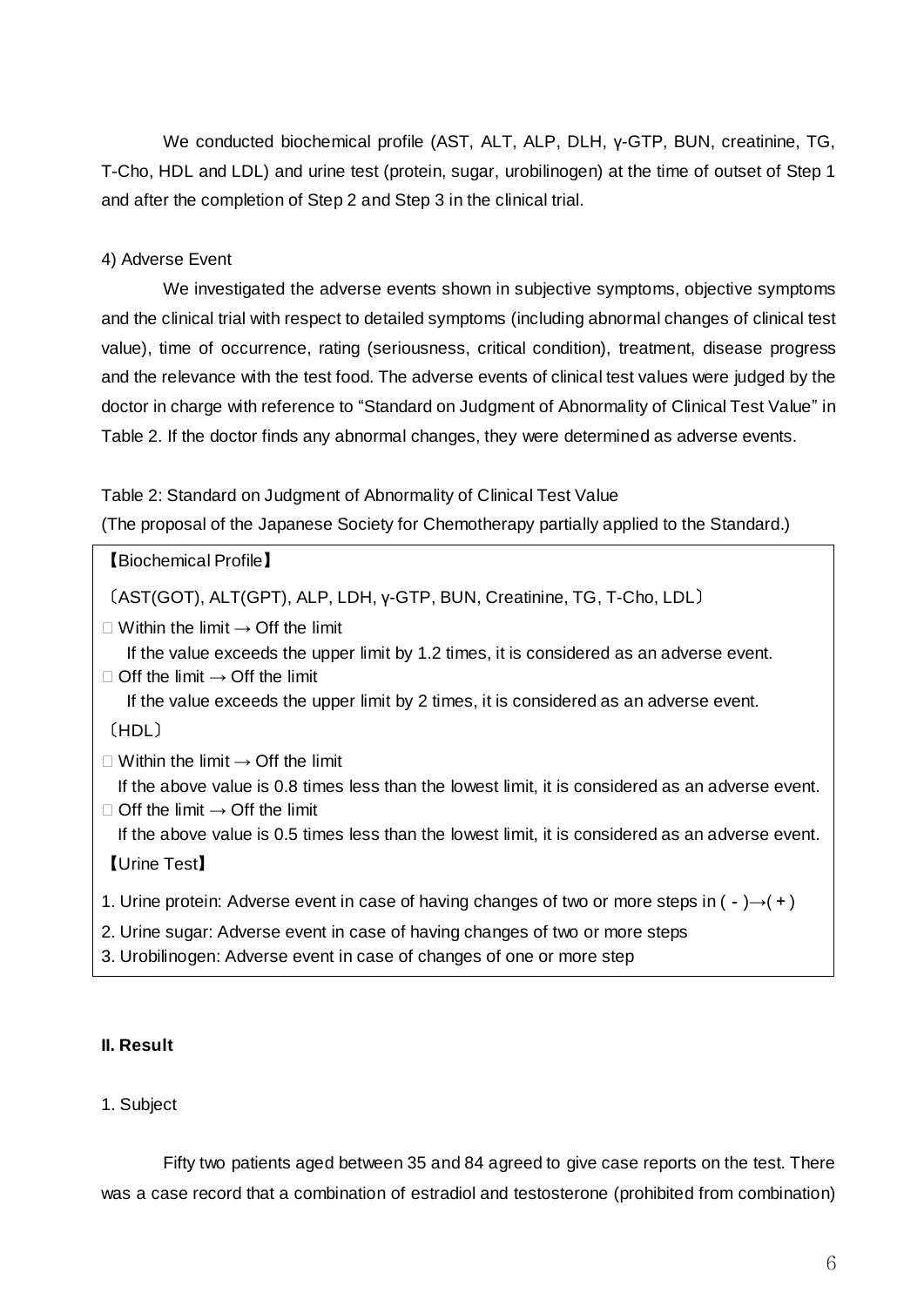We conducted biochemical profile (AST, ALT, ALP, DLH, γ-GTP, BUN, creatinine, TG, T-Cho, HDL and LDL) and urine test (protein, sugar, urobilinogen) at the time of outset of Step 1 and after the completion of Step 2 and Step 3 in the clinical trial.

# 4) Adverse Event

We investigated the adverse events shown in subjective symptoms, objective symptoms and the clinical trial with respect to detailed symptoms (including abnormal changes of clinical test value), time of occurrence, rating (seriousness, critical condition), treatment, disease progress and the relevance with the test food. The adverse events of clinical test values were judged by the doctor in charge with reference to "Standard on Judgment of Abnormality of Clinical Test Value" in Table 2. If the doctor finds any abnormal changes, they were determined as adverse events.

## Table 2: Standard on Judgment of Abnormality of Clinical Test Value

(The proposal of the Japanese Society for Chemotherapy partially applied to the Standard.)

〔AST(GOT), ALT(GPT), ALP, LDH, γ-GTP, BUN, Creatinine, TG, T-Cho, LDL〕

 $\Box$  Within the limit  $\rightarrow$  Off the limit

 If the value exceeds the upper limit by 1.2 times, it is considered as an adverse event.  $\Box$  Off the limit  $\rightarrow$  Off the limit

If the value exceeds the upper limit by 2 times, it is considered as an adverse event.

〔HDL〕

 $\Box$  Within the limit  $\rightarrow$  Off the limit

 If the above value is 0.8 times less than the lowest limit, it is considered as an adverse event.  $\Box$  Off the limit  $\rightarrow$  Off the limit

If the above value is 0.5 times less than the lowest limit, it is considered as an adverse event.

【Urine Test】

- 1. Urine protein: Adverse event in case of having changes of two or more steps in ( $\rightarrow$ ) $\rightarrow$ ( $\rightarrow$ )
- 2. Urine sugar: Adverse event in case of having changes of two or more steps
- 3. Urobilinogen: Adverse event in case of changes of one or more step

## **II. Result**

## 1. Subject

Fifty two patients aged between 35 and 84 agreed to give case reports on the test. There was a case record that a combination of estradiol and testosterone (prohibited from combination)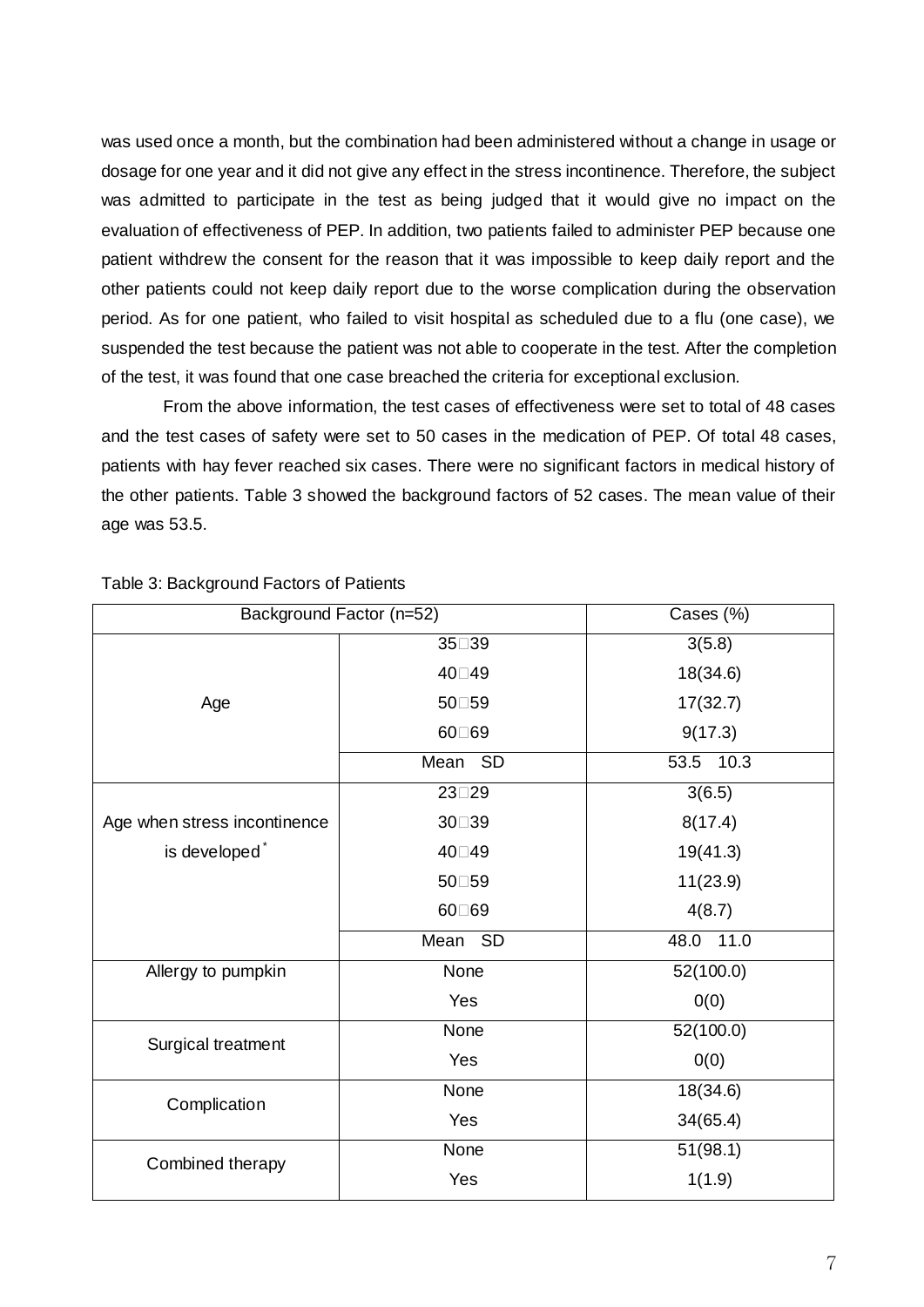was used once a month, but the combination had been administered without a change in usage or dosage for one year and it did not give any effect in the stress incontinence. Therefore, the subject was admitted to participate in the test as being judged that it would give no impact on the evaluation of effectiveness of PEP. In addition, two patients failed to administer PEP because one patient withdrew the consent for the reason that it was impossible to keep daily report and the other patients could not keep daily report due to the worse complication during the observation period. As for one patient, who failed to visit hospital as scheduled due to a flu (one case), we suspended the test because the patient was not able to cooperate in the test. After the completion of the test, it was found that one case breached the criteria for exceptional exclusion.

From the above information, the test cases of effectiveness were set to total of 48 cases and the test cases of safety were set to 50 cases in the medication of PEP. Of total 48 cases, patients with hay fever reached six cases. There were no significant factors in medical history of the other patients. Table 3 showed the background factors of 52 cases. The mean value of their age was 53.5.

|                              | Background Factor (n=52) | Cases (%)    |
|------------------------------|--------------------------|--------------|
|                              | 35□39                    | 3(5.8)       |
|                              | 40□49                    | 18(34.6)     |
| Age                          | 50□59                    | 17(32.7)     |
|                              | 60□69                    | 9(17.3)      |
|                              | Mean<br><b>SD</b>        | 53.5 10.3    |
|                              | 23□29                    | 3(6.5)       |
| Age when stress incontinence | 30□39                    | 8(17.4)      |
| is developed <sup>*</sup>    | 40□49                    | 19(41.3)     |
|                              | 50□59                    | 11(23.9)     |
|                              | 60□69                    | 4(8.7)       |
|                              | <b>SD</b><br>Mean        | 48.0<br>11.0 |
| Allergy to pumpkin           | None                     | 52(100.0)    |
|                              | Yes                      | 0(0)         |
| Surgical treatment           | None                     | 52(100.0)    |
|                              | Yes                      | 0(0)         |
| Complication                 | None                     | 18(34.6)     |
|                              | Yes                      | 34(65.4)     |
| Combined therapy             | None                     | 51(98.1)     |
|                              | Yes                      | 1(1.9)       |

Table 3: Background Factors of Patients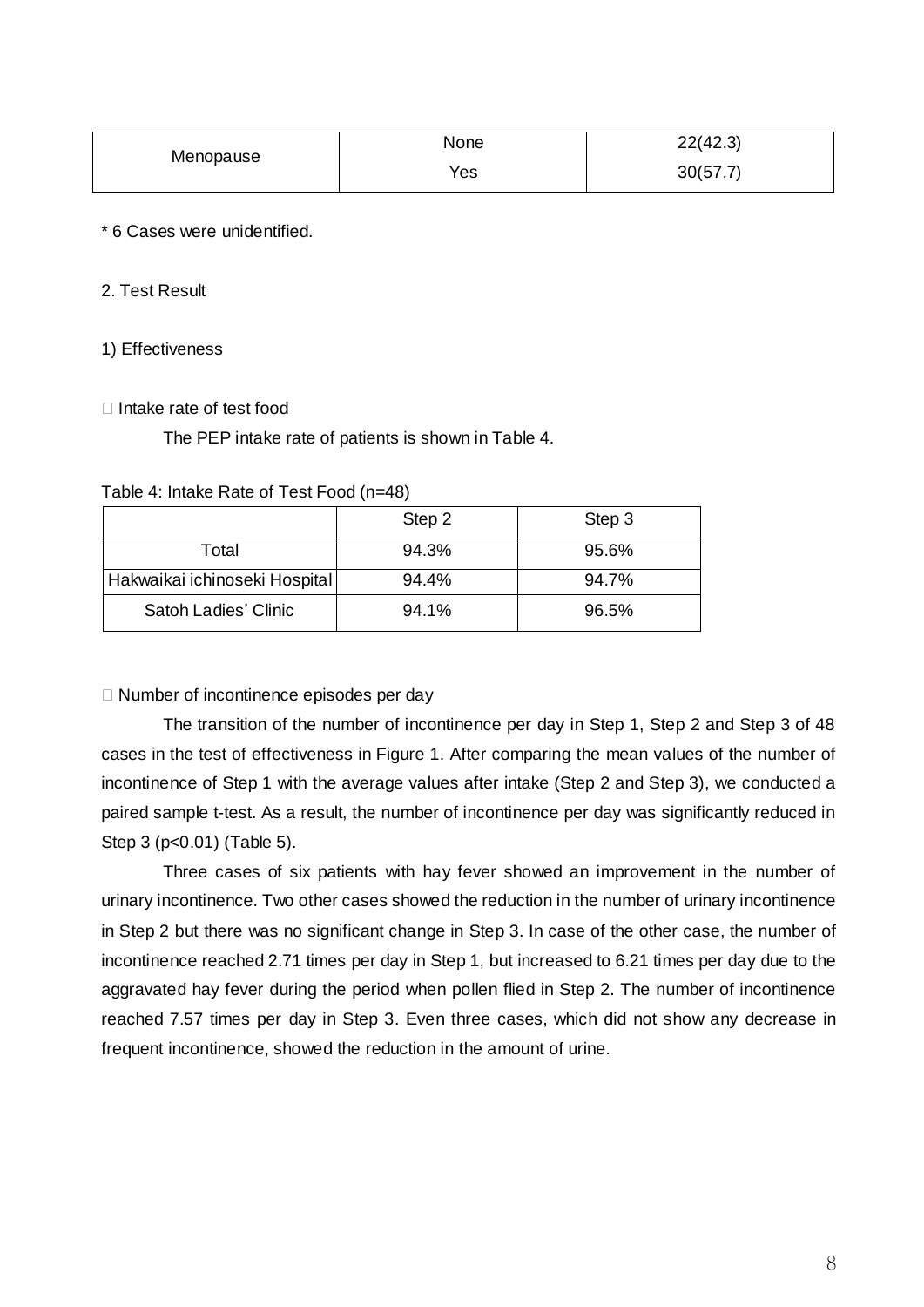| Menopause | None | 22(42.3) |  |
|-----------|------|----------|--|
|           | Yes  | 30(57.7) |  |

## \* 6 Cases were unidentified.

## 2. Test Result

#### 1) Effectiveness

#### $\Box$  Intake rate of test food

The PEP intake rate of patients is shown in Table 4.

| Table 4: Intake Rate of Test Food (n=48) |  |  |  |
|------------------------------------------|--|--|--|
|------------------------------------------|--|--|--|

|                               | Step 2 | Step 3 |
|-------------------------------|--------|--------|
| Total                         | 94.3%  | 95.6%  |
| Hakwaikai ichinoseki Hospital | 94.4%  | 94.7%  |
| Satoh Ladies' Clinic          | 94.1%  | 96.5%  |

 $\Box$  Number of incontinence episodes per day

The transition of the number of incontinence per day in Step 1, Step 2 and Step 3 of 48 cases in the test of effectiveness in Figure 1. After comparing the mean values of the number of incontinence of Step 1 with the average values after intake (Step 2 and Step 3), we conducted a paired sample t-test. As a result, the number of incontinence per day was significantly reduced in Step 3 (p<0.01) (Table 5).

Three cases of six patients with hay fever showed an improvement in the number of urinary incontinence. Two other cases showed the reduction in the number of urinary incontinence in Step 2 but there was no significant change in Step 3. In case of the other case, the number of incontinence reached 2.71 times per day in Step 1, but increased to 6.21 times per day due to the aggravated hay fever during the period when pollen flied in Step 2. The number of incontinence reached 7.57 times per day in Step 3. Even three cases, which did not show any decrease in frequent incontinence, showed the reduction in the amount of urine.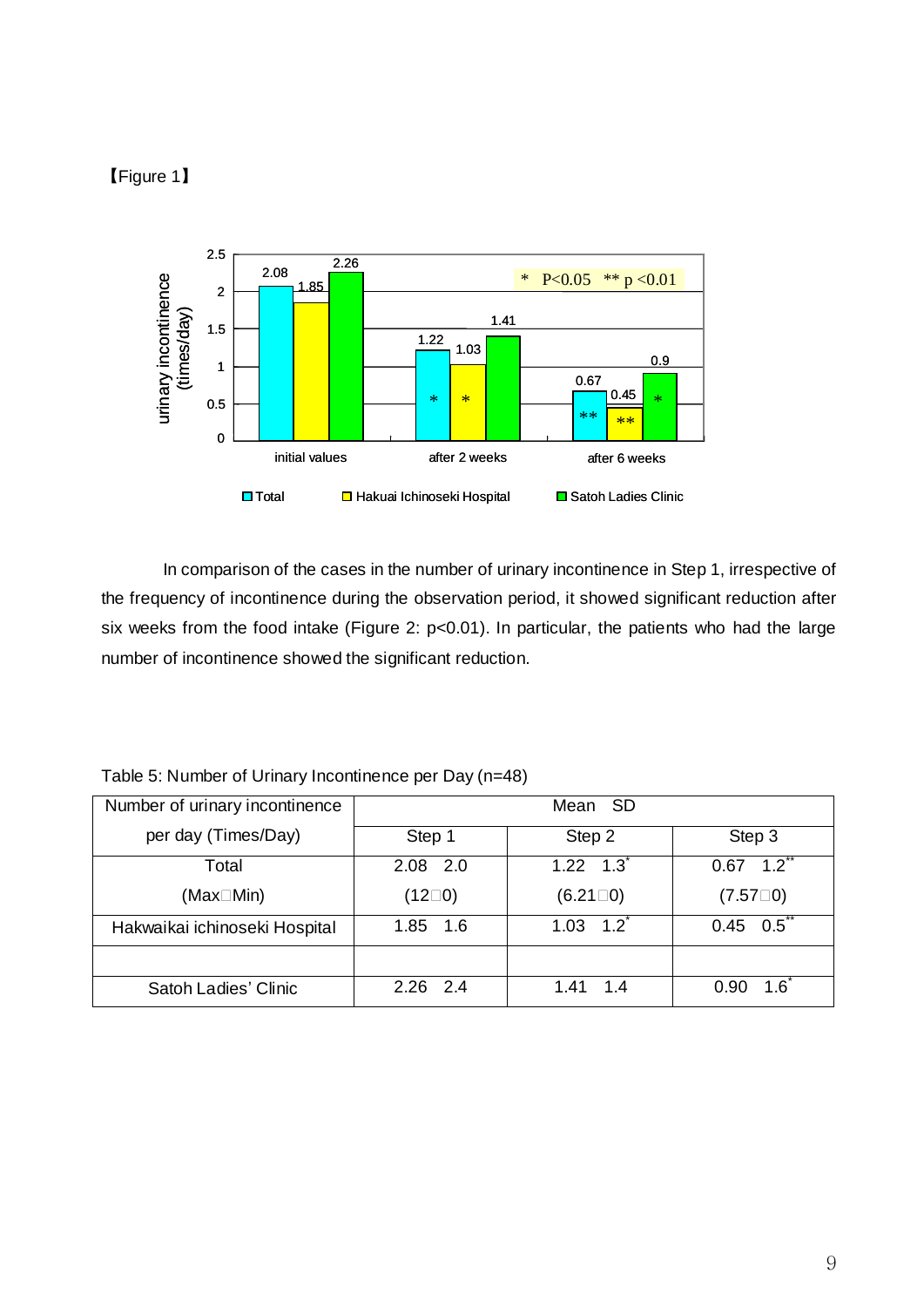# 【Figure 1】



In comparison of the cases in the number of urinary incontinence in Step 1, irrespective of the frequency of incontinence during the observation period, it showed significant reduction after six weeks from the food intake (Figure 2: p<0.01). In particular, the patients who had the large number of incontinence showed the significant reduction.

| Number of urinary incontinence |                 |                            |                             |
|--------------------------------|-----------------|----------------------------|-----------------------------|
| per day (Times/Day)            | Step 1          | Step 2                     | Step 3                      |
| Total                          | 2.08 2.0        | $1.22 \quad 1.3$           | $1.2$ <sup>**</sup><br>0.67 |
| (Max□Min)                      | $(12\square 0)$ | $(6.21 \square 0)$         | $(7.57 \square 0)$          |
| Hakwaikai ichinoseki Hospital  | 1.85 1.6        | $1.03 \quad 1.2^{\degree}$ | $0.45\quad 0.5$ **          |
|                                |                 |                            |                             |
| Satoh Ladies' Clinic           | $2.26$ 2.4      | 1.4<br>1.41                | $1.6^{\circ}$<br>0.90       |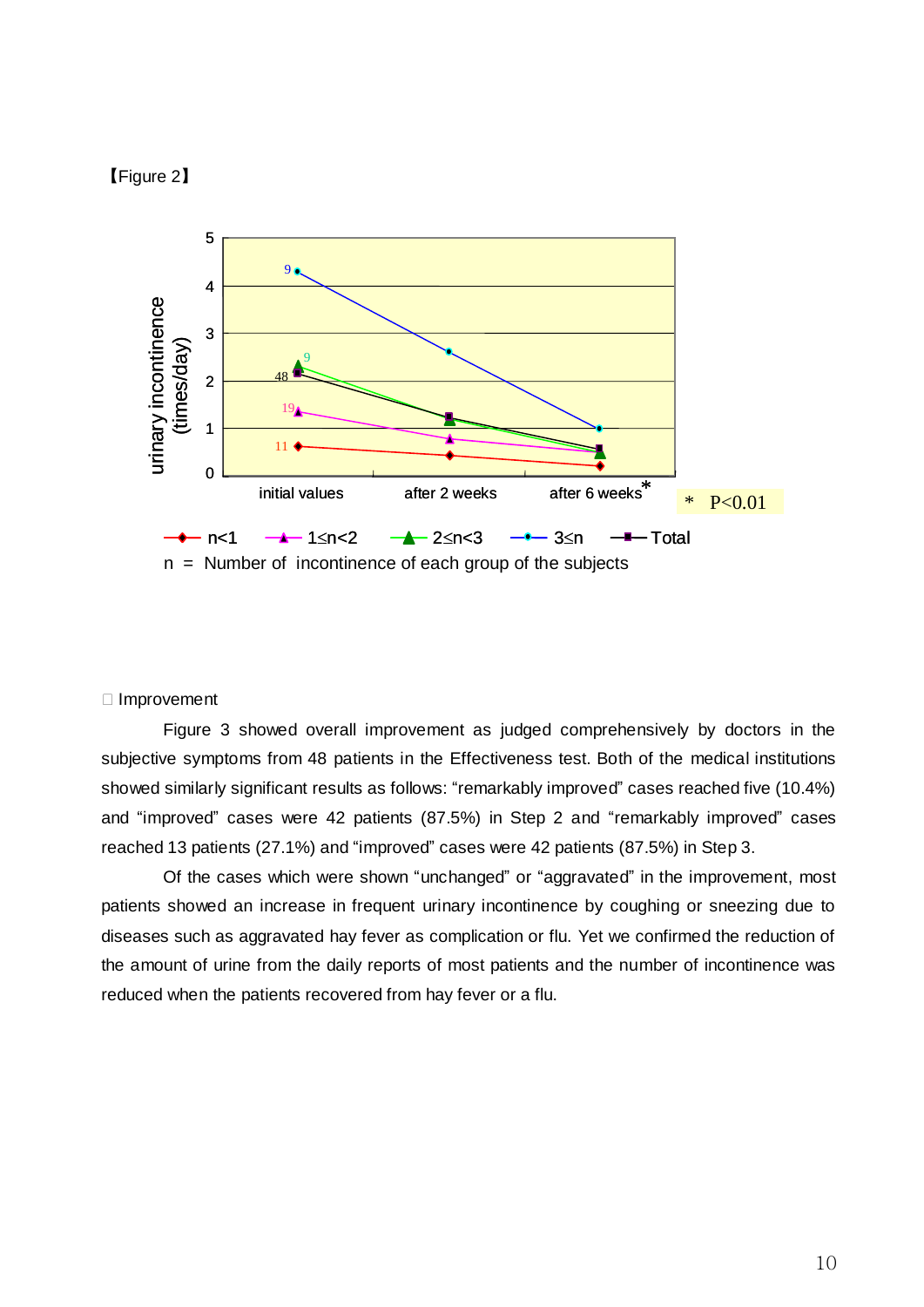## 【Figure 2】



#### ① Improvement

Figure 3 showed overall improvement as judged comprehensively by doctors in the subjective symptoms from 48 patients in the Effectiveness test. Both of the medical institutions showed similarly significant results as follows: "remarkably improved" cases reached five (10.4%) and "improved" cases were 42 patients (87.5%) in Step 2 and "remarkably improved" cases reached 13 patients (27.1%) and "improved" cases were 42 patients (87.5%) in Step 3.

Of the cases which were shown "unchanged" or "aggravated" in the improvement, most patients showed an increase in frequent urinary incontinence by coughing or sneezing due to diseases such as aggravated hay fever as complication or flu. Yet we confirmed the reduction of the amount of urine from the daily reports of most patients and the number of incontinence was reduced when the patients recovered from hay fever or a flu.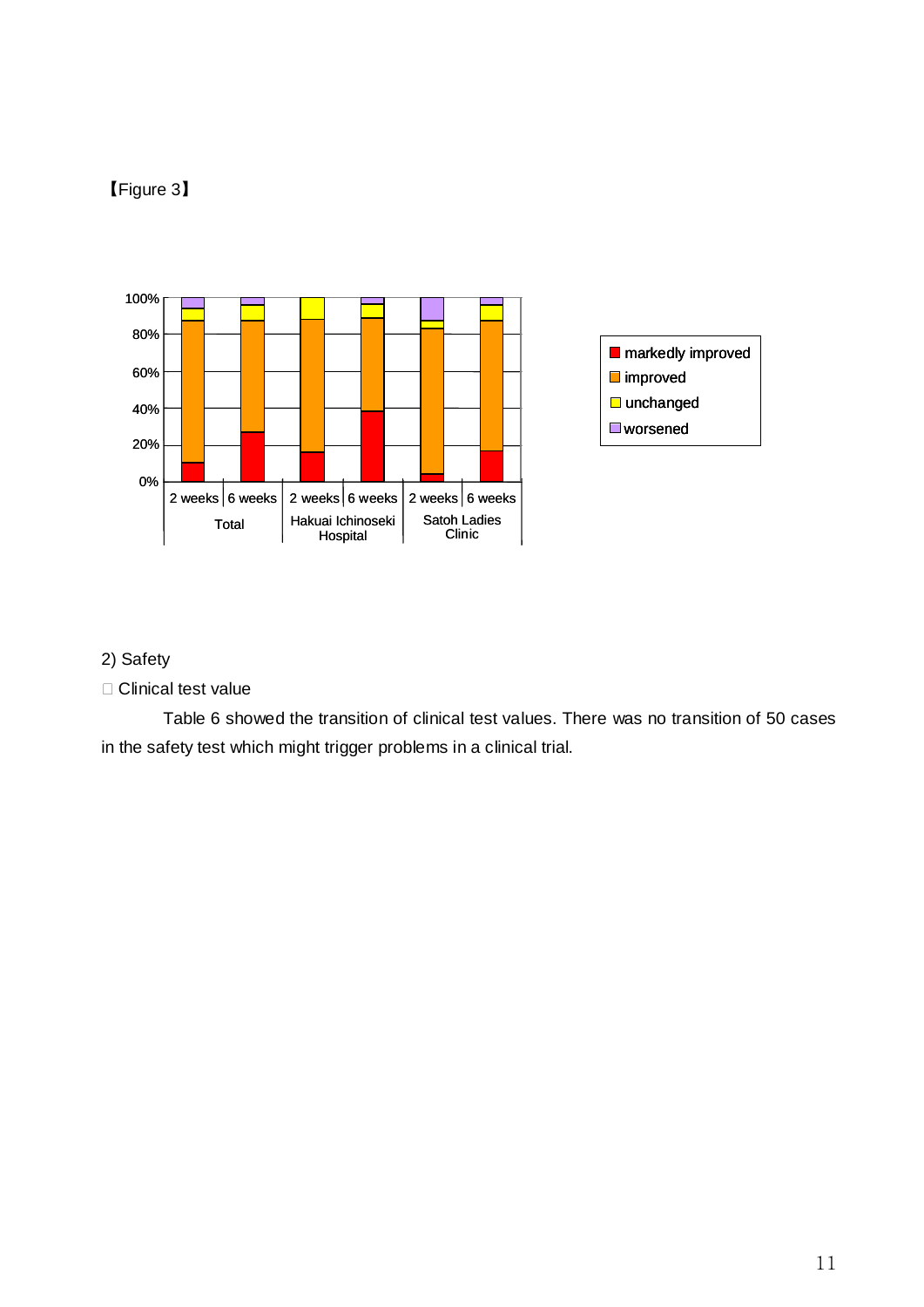# 【Figure 3】



# 2) Safety

① Clinical test value

Table 6 showed the transition of clinical test values. There was no transition of 50 cases in the safety test which might trigger problems in a clinical trial.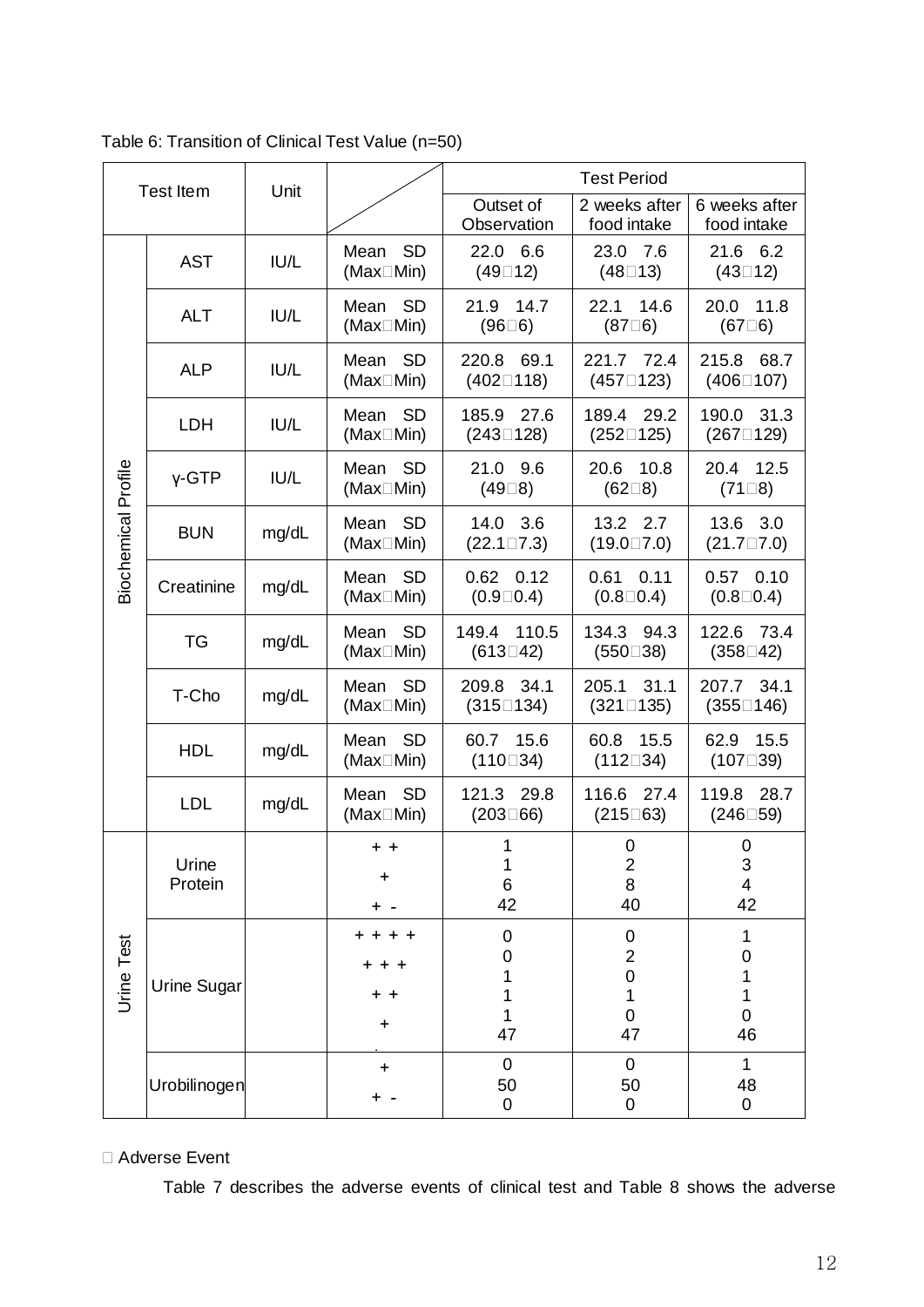| <b>Test Item</b>    |                                                        | Unit  |                                                                              | <b>Test Period</b>                   |                                                                       |                                                                           |  |
|---------------------|--------------------------------------------------------|-------|------------------------------------------------------------------------------|--------------------------------------|-----------------------------------------------------------------------|---------------------------------------------------------------------------|--|
|                     |                                                        |       |                                                                              | Outset of<br>Observation             | 2 weeks after<br>food intake                                          | 6 weeks after<br>food intake                                              |  |
|                     | <b>AST</b>                                             | IUI/L | <b>SD</b><br>22.0 6.6<br>Mean<br>(Max <sub>IMin</sub> )<br>$(49 \square 12)$ |                                      | 23.0 7.6<br>$(48 \square 13)$                                         | 21.6 6.2<br>$(43 \square 12)$                                             |  |
|                     | <b>ALT</b>                                             | IU/L  | Mean SD<br>(Max <sub>IMin</sub> )                                            | 21.9 14.7<br>$(96\square 6)$         | 14.6<br>22.1<br>$(87\square 6)$                                       | 11.8<br>20.0<br>$(67 \square 6)$                                          |  |
|                     | <b>ALP</b>                                             | IU/L  | Mean SD<br>(Max <sub>IMin</sub> )                                            | 220.8 69.1<br>$(402 \square 118)$    | 221.7 72.4<br>$(457 \square 123)$                                     | 215.8<br>68.7<br>$(406 \square 107)$                                      |  |
|                     | LDH                                                    | IU/L  | Mean SD<br>(Max <sub>IMin</sub> )                                            | 27.6<br>185.9<br>$(243 \square 128)$ | 189.4 29.2<br>$(252 \square 125)$                                     | 190.0 31.3<br>$(267 \square 129)$                                         |  |
|                     | $Y$ -GTP                                               | IU/L  | <b>SD</b><br>Mean<br>(Max <sub>IMin</sub> )                                  | 21.0 9.6<br>$(49\square 8)$          | 20.6<br>10.8<br>$(62\square 8)$                                       | 20.4 12.5<br>$(71\Box 8)$                                                 |  |
| Biochemical Profile | <b>BUN</b>                                             | mg/dL | Mean SD<br>(Max□Min)                                                         | 14.0 3.6<br>$(22.1 \square 7.3)$     | 13.2 2.7<br>$(19.0 \square 7.0)$                                      | 13.6 3.0<br>$(21.7 \square 7.0)$                                          |  |
|                     | Creatinine                                             | mg/dL | Mean SD<br>(Max□Min)                                                         | $0.62$ 0.12<br>$(0.9 \square 0.4)$   | $0.61$ $0.11$<br>$(0.8 \square 0.4)$                                  | $0.57$ 0.10<br>$(0.8 \square 0.4)$                                        |  |
|                     | <b>TG</b>                                              | mg/dL | Mean SD<br>(Max <sub>IMin</sub> )                                            | 149.4 110.5<br>$(613 \square 42)$    | 134.3 94.3<br>$(550 \square 38)$                                      | 122.6 73.4<br>$(358 \square 42)$                                          |  |
|                     | T-Cho                                                  | mg/dL | Mean SD<br>(Max <sub>IMin</sub> )                                            | 209.8 34.1<br>$(315 \square 134)$    | 205.1 31.1<br>$(321 \square 135)$                                     | 207.7 34.1<br>$(355 \square 146)$                                         |  |
|                     | <b>HDL</b>                                             | mg/dL | <b>SD</b><br>Mean<br>(Max <sub>IMin</sub> )                                  | 60.7 15.6<br>$(110 \square 34)$      | 60.8<br>15.5<br>$(112 \square 34)$                                    | 62.9<br>15.5<br>$(107 \square 39)$                                        |  |
|                     | <b>LDL</b><br>mg/dL                                    |       | <b>SD</b><br>Mean<br>(Max <sub>IMin</sub> )                                  | 121.3 29.8<br>$(203 \square 66)$     | 116.6 27.4<br>$(215 \square 63)$                                      | 119.8 28.7<br>$(246 \square 59)$                                          |  |
|                     | Urine<br>Protein<br><b>Urine Sugar</b><br>Urobilinogen |       | + +<br>+                                                                     | 1<br>1<br>6<br>42                    | 0<br>$\boldsymbol{2}$<br>8<br>40                                      | $\mathbf 0$<br>$\ensuremath{\mathsf{3}}$<br>$\overline{\mathbf{4}}$<br>42 |  |
| Urine Test          |                                                        |       | + + + +<br>+ +<br>+<br>$\ddot{}$                                             | 0<br>0<br>1<br>1<br>47               | 0<br>$\overline{\mathbf{c}}$<br>$\mathbf 0$<br>1<br>$\mathbf 0$<br>47 | 1<br>$\mathbf 0$<br>1<br>1<br>$\overline{0}$<br>46                        |  |
|                     |                                                        |       | $\pmb{+}$                                                                    | $\overline{0}$<br>50<br>0            | $\overline{0}$<br>50<br>0                                             | $\mathbf 1$<br>48<br>0                                                    |  |

Table 6: Transition of Clinical Test Value (n=50)

# ① Adverse Event

Table 7 describes the adverse events of clinical test and Table 8 shows the adverse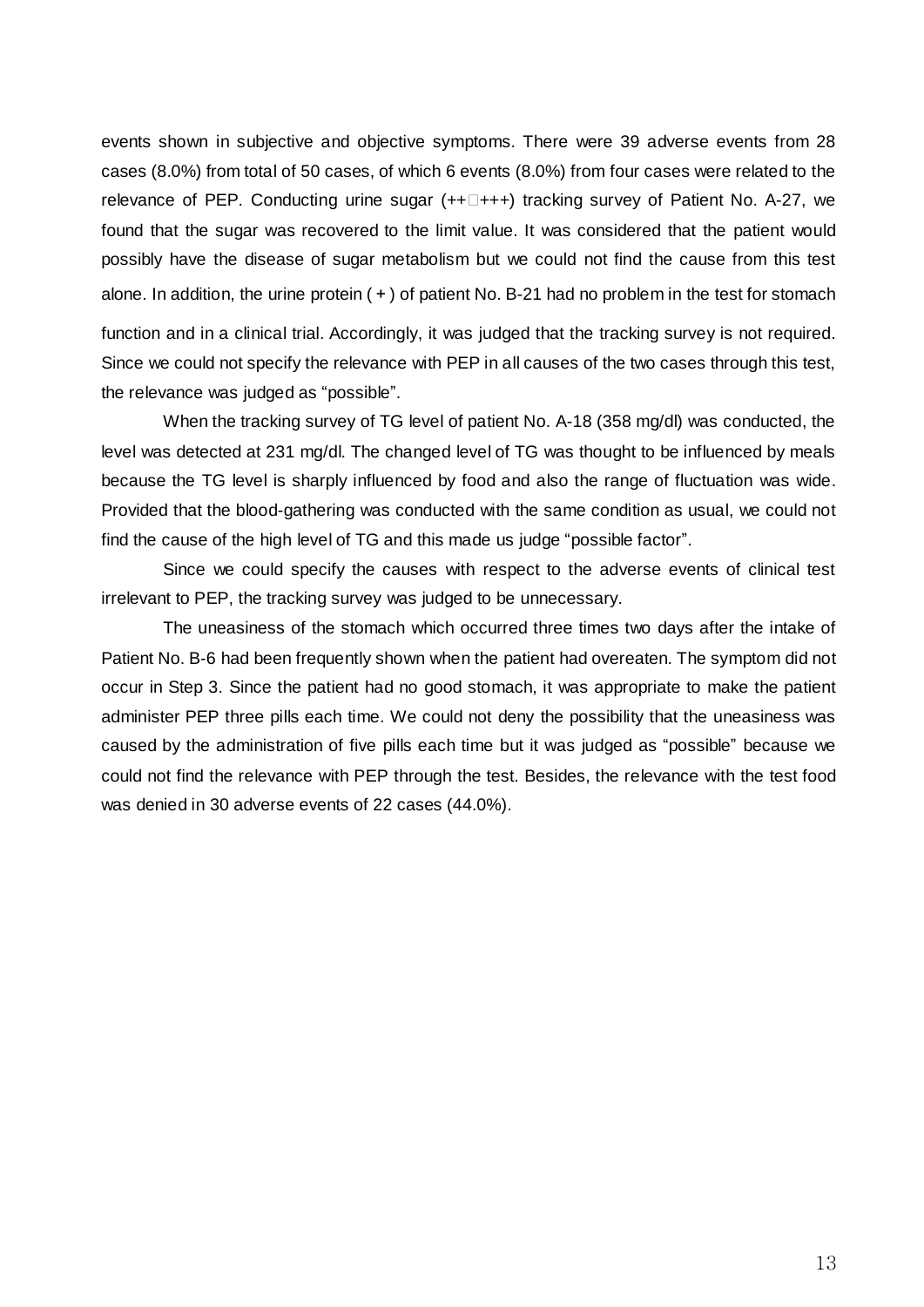events shown in subjective and objective symptoms. There were 39 adverse events from 28 cases (8.0%) from total of 50 cases, of which 6 events (8.0%) from four cases were related to the relevance of PEP. Conducting urine sugar  $(++ \Box +++)$  tracking survey of Patient No. A-27, we found that the sugar was recovered to the limit value. It was considered that the patient would possibly have the disease of sugar metabolism but we could not find the cause from this test alone. In addition, the urine protein  $(+)$  of patient No. B-21 had no problem in the test for stomach function and in a clinical trial. Accordingly, it was judged that the tracking survey is not required. Since we could not specify the relevance with PEP in all causes of the two cases through this test, the relevance was judged as "possible".

When the tracking survey of TG level of patient No. A-18 (358 mg/dl) was conducted, the level was detected at 231 mg/dl. The changed level of TG was thought to be influenced by meals because the TG level is sharply influenced by food and also the range of fluctuation was wide. Provided that the blood-gathering was conducted with the same condition as usual, we could not find the cause of the high level of TG and this made us judge "possible factor".

Since we could specify the causes with respect to the adverse events of clinical test irrelevant to PEP, the tracking survey was judged to be unnecessary.

The uneasiness of the stomach which occurred three times two days after the intake of Patient No. B-6 had been frequently shown when the patient had overeaten. The symptom did not occur in Step 3. Since the patient had no good stomach, it was appropriate to make the patient administer PEP three pills each time. We could not deny the possibility that the uneasiness was caused by the administration of five pills each time but it was judged as "possible" because we could not find the relevance with PEP through the test. Besides, the relevance with the test food was denied in 30 adverse events of 22 cases (44.0%).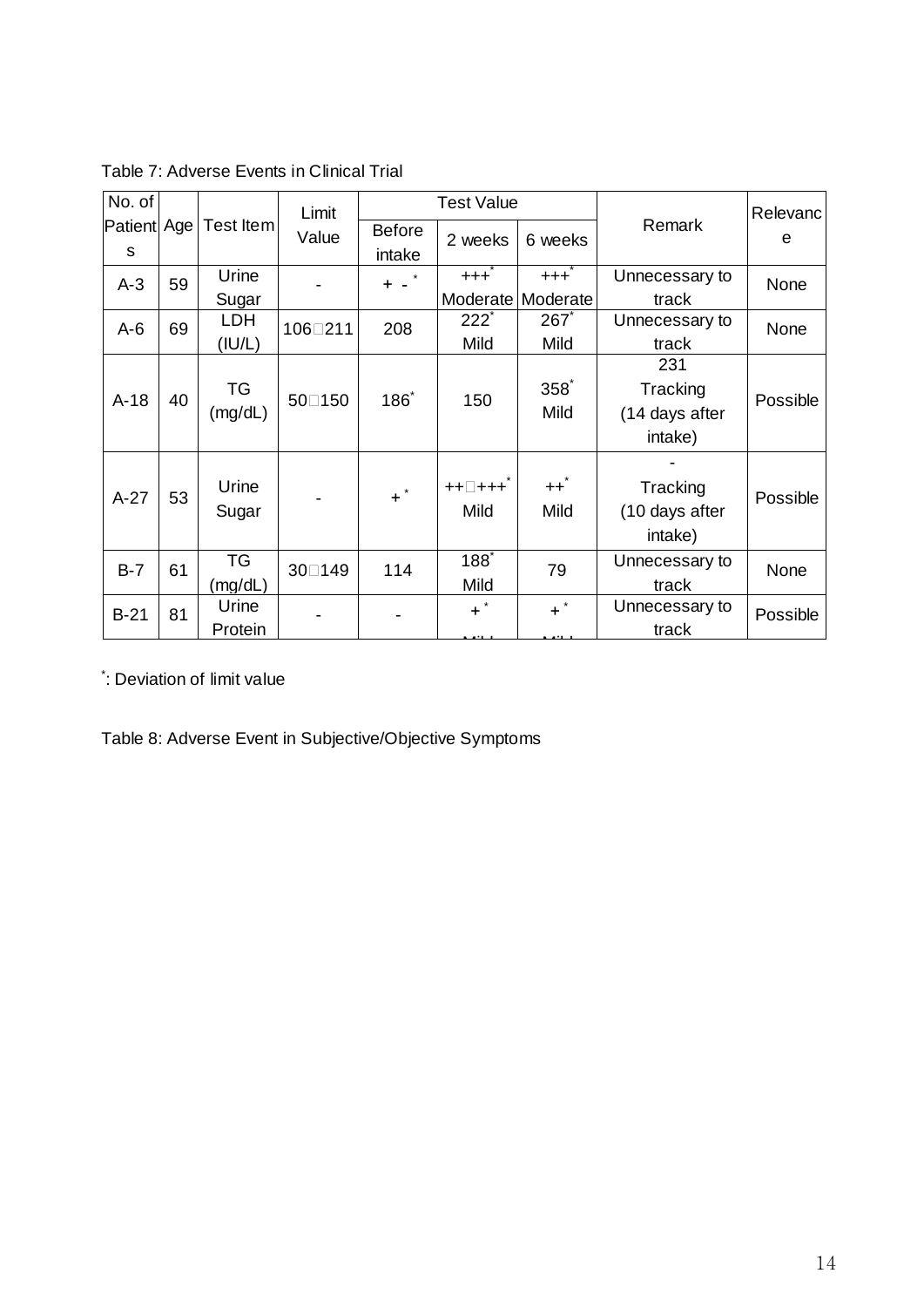| No. of           |    |            | Limit   |                 | <b>Test Value</b>                              |                         |                |          |        |               |
|------------------|----|------------|---------|-----------------|------------------------------------------------|-------------------------|----------------|----------|--------|---------------|
| Patient Age<br>S |    | Test Item  | Value   |                 |                                                | <b>Before</b><br>intake | 2 weeks        | 6 weeks  | Remark | Relevanc<br>e |
| $A-3$            | 59 | Urine      |         | $+ -$           | $+ + +$                                        | $+++$                   | Unnecessary to | None     |        |               |
|                  |    | Sugar      |         |                 |                                                | Moderate   Moderate     | track          |          |        |               |
| $A-6$            | 69 | <b>LDH</b> | 106□211 | 208             | $222^{\degree}$                                | 267                     | Unnecessary to | None     |        |               |
|                  |    | (IU/L)     |         |                 | Mild                                           | Mild                    | track          |          |        |               |
|                  |    |            |         |                 |                                                |                         | 231            |          |        |               |
| $A-18$           | 40 | TG         | 50□150  | $186^{\degree}$ | 150                                            | $358^{\degree}$         | Tracking       | Possible |        |               |
|                  |    | (mg/dL)    |         |                 |                                                | Mild                    | (14 days after |          |        |               |
|                  |    |            |         |                 |                                                |                         | intake)        |          |        |               |
|                  |    |            |         |                 |                                                |                         |                |          |        |               |
| $A-27$           | 53 | Urine      |         | $\pm$ $^{*}$    | $\qquad \qquad +\! +\! \Box\! +\! +\! \dot{+}$ | $++$                    | Tracking       | Possible |        |               |
|                  |    | Sugar      |         |                 | Mild                                           | Mild                    | (10 days after |          |        |               |
|                  |    |            |         |                 |                                                |                         | intake)        |          |        |               |
| $B-7$            | 61 | <b>TG</b>  | 30□149  | 114             | $188^{\degree}$                                | 79                      | Unnecessary to | None     |        |               |
|                  |    | (mg/dL)    |         |                 | Mild                                           |                         | track          |          |        |               |
| $B-21$           | 81 | Urine      |         |                 | $+$ *                                          | $+$ *                   | Unnecessary to | Possible |        |               |
|                  |    | Protein    |         |                 |                                                |                         | track          |          |        |               |

Table 7: Adverse Events in Clinical Trial

\*: Deviation of limit value

Table 8: Adverse Event in Subjective/Objective Symptoms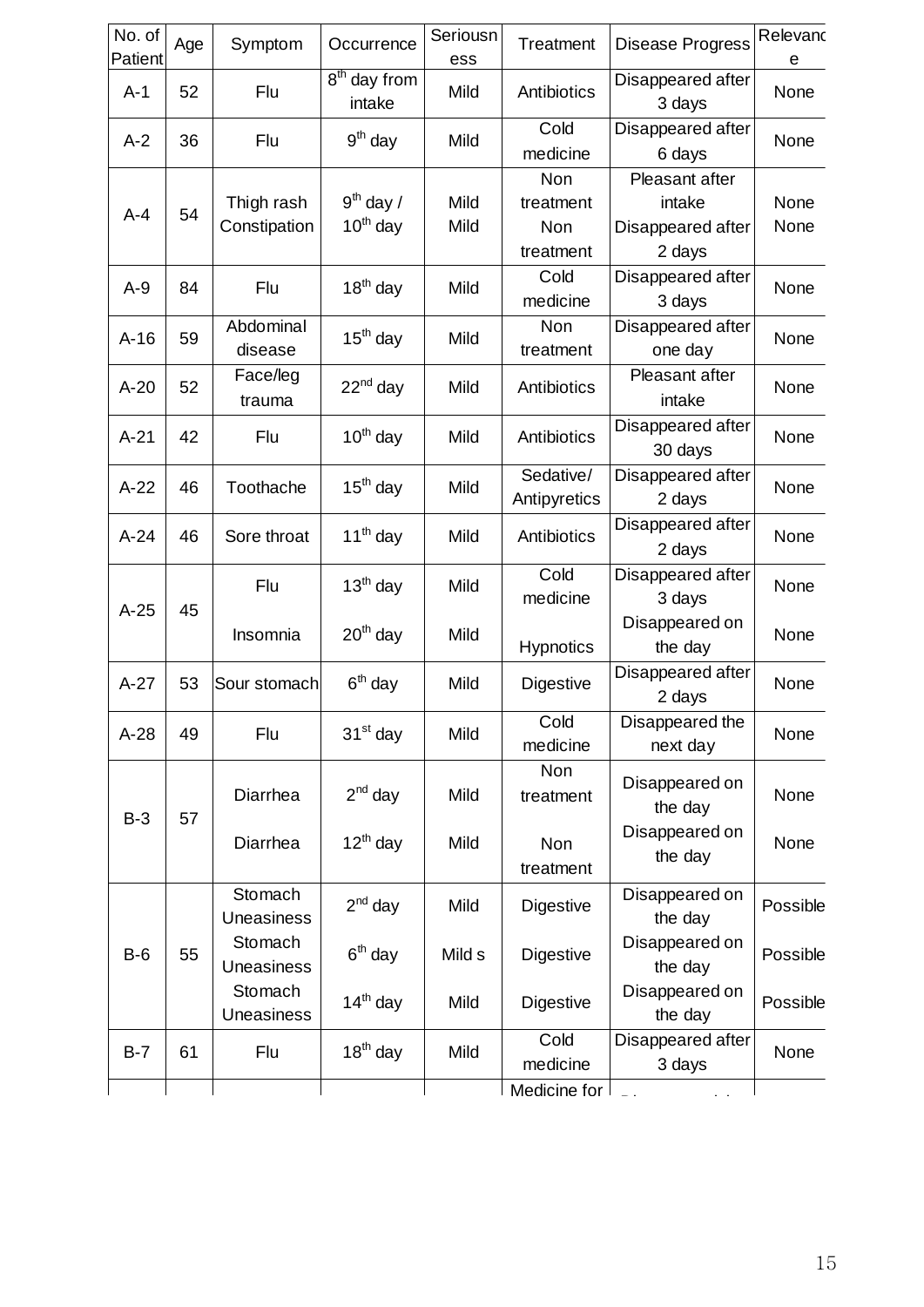| No. of<br>Patient | Age | Symptom                      | Occurrence                         | Seriousn<br>ess     | Treatment                            | Disease Progress                                        | Relevand<br>е |
|-------------------|-----|------------------------------|------------------------------------|---------------------|--------------------------------------|---------------------------------------------------------|---------------|
| $A-1$             | 52  | Flu                          | 8 <sup>th</sup> day from<br>intake | Mild                | Antibiotics                          | Disappeared after<br>3 days                             | None          |
| $A-2$             | 36  | Flu                          | $9th$ day                          | Mild                | Cold<br>medicine                     | Disappeared after<br>6 days                             | None          |
| $A - 4$           | 54  | Thigh rash<br>Constipation   | $9th$ day /<br>$10^{th}$ day       | <b>Mild</b><br>Mild | Non<br>treatment<br>Non<br>treatment | Pleasant after<br>intake<br>Disappeared after<br>2 days | None<br>None  |
| $A-9$             | 84  | Flu                          | $18th$ day                         | Mild                | Cold<br>medicine                     | Disappeared after<br>3 days                             | None          |
| $A-16$            | 59  | Abdominal<br>disease         | $15th$ day                         | <b>Mild</b>         | Non<br>treatment                     | Disappeared after<br>one day                            | None          |
| $A-20$            | 52  | Face/leg<br>trauma           | $22nd$ day                         | Mild                | Antibiotics                          | Pleasant after<br>intake                                | None          |
| $A-21$            | 42  | Flu                          | $10th$ day                         | Mild                | Antibiotics                          | Disappeared after<br>30 days                            | None          |
| $A-22$            | 46  | Toothache                    | $15th$ day                         | Mild                | Sedative/<br>Antipyretics            | Disappeared after<br>2 days                             | None          |
| $A-24$            | 46  | Sore throat                  | $11th$ day                         | Mild                | Antibiotics                          | Disappeared after<br>2 days                             | None          |
| $A-25$            | 45  | Flu                          | $13th$ day                         | Mild                | Cold<br>medicine                     | Disappeared after<br>3 days                             | None          |
|                   |     | Insomnia                     | $20th$ day                         | <b>Mild</b>         | Hypnotics                            | Disappeared on<br>the day                               | None          |
| $A-27$            | 53  | Sour stomach                 | $6th$ day                          | Mild                | Digestive                            | Disappeared after<br>2 days                             | None          |
| $A-28$            | 49  | Flu                          | 31 <sup>st</sup> day               | Mild                | Cold<br>medicine                     | Disappeared the<br>next day                             | None          |
|                   |     | Diarrhea                     | $2^{nd}$ day                       | Mild                | Non<br>treatment                     | Disappeared on<br>the day                               | None          |
| $B-3$             | 57  | Diarrhea                     | $12^{th}$ day                      | Mild                | <b>Non</b><br>treatment              | Disappeared on<br>the day                               | None          |
|                   |     | Stomach<br><b>Uneasiness</b> | $2nd$ day                          | Mild                | Digestive                            | Disappeared on<br>the day                               | Possible      |
| $B-6$             | 55  | Stomach<br><b>Uneasiness</b> | $6th$ day                          | Mild s              | Digestive                            | Disappeared on<br>the day                               | Possible      |
|                   |     | Stomach<br>Uneasiness        | $14th$ day                         | Mild                | Digestive                            | Disappeared on<br>the day                               | Possible      |
| $B-7$             | 61  | Flu                          | $18th$ day                         | Mild                | Cold<br>medicine                     | Disappeared after<br>3 days                             | None          |
|                   |     |                              |                                    |                     | Medicine for                         |                                                         |               |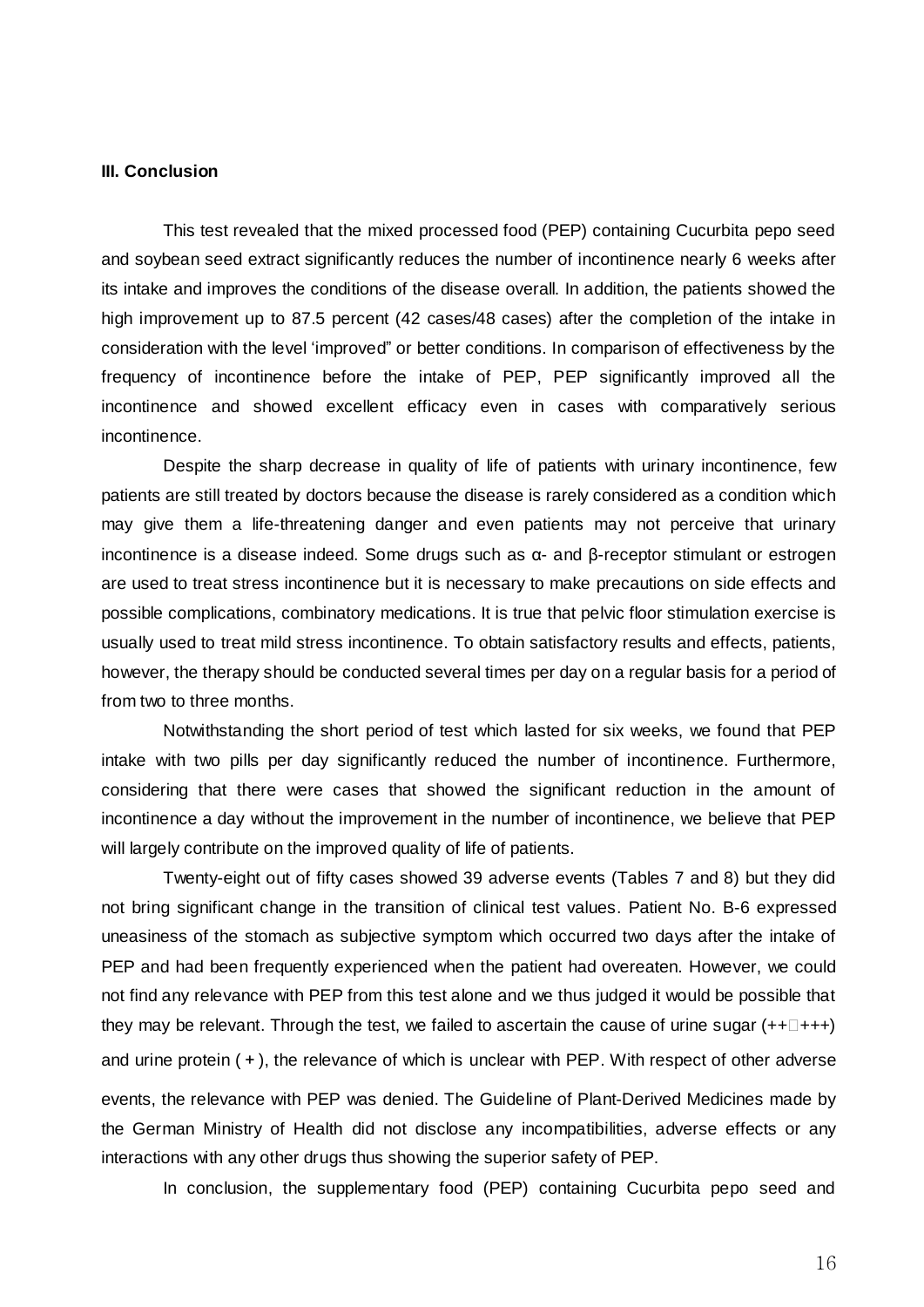#### **III. Conclusion**

This test revealed that the mixed processed food (PEP) containing Cucurbita pepo seed and soybean seed extract significantly reduces the number of incontinence nearly 6 weeks after its intake and improves the conditions of the disease overall. In addition, the patients showed the high improvement up to 87.5 percent (42 cases/48 cases) after the completion of the intake in consideration with the level 'improved" or better conditions. In comparison of effectiveness by the frequency of incontinence before the intake of PEP, PEP significantly improved all the incontinence and showed excellent efficacy even in cases with comparatively serious incontinence.

Despite the sharp decrease in quality of life of patients with urinary incontinence, few patients are still treated by doctors because the disease is rarely considered as a condition which may give them a life-threatening danger and even patients may not perceive that urinary incontinence is a disease indeed. Some drugs such as α- and β-receptor stimulant or estrogen are used to treat stress incontinence but it is necessary to make precautions on side effects and possible complications, combinatory medications. It is true that pelvic floor stimulation exercise is usually used to treat mild stress incontinence. To obtain satisfactory results and effects, patients, however, the therapy should be conducted several times per day on a regular basis for a period of from two to three months.

Notwithstanding the short period of test which lasted for six weeks, we found that PEP intake with two pills per day significantly reduced the number of incontinence. Furthermore, considering that there were cases that showed the significant reduction in the amount of incontinence a day without the improvement in the number of incontinence, we believe that PEP will largely contribute on the improved quality of life of patients.

Twenty-eight out of fifty cases showed 39 adverse events (Tables 7 and 8) but they did not bring significant change in the transition of clinical test values. Patient No. B-6 expressed uneasiness of the stomach as subjective symptom which occurred two days after the intake of PEP and had been frequently experienced when the patient had overeaten. However, we could not find any relevance with PEP from this test alone and we thus judged it would be possible that they may be relevant. Through the test, we failed to ascertain the cause of urine sugar  $(++ \Box ++)$ and urine protein (+), the relevance of which is unclear with PEP. With respect of other adverse events, the relevance with PEP was denied. The Guideline of Plant-Derived Medicines made by the German Ministry of Health did not disclose any incompatibilities, adverse effects or any interactions with any other drugs thus showing the superior safety of PEP.

In conclusion, the supplementary food (PEP) containing Cucurbita pepo seed and

16